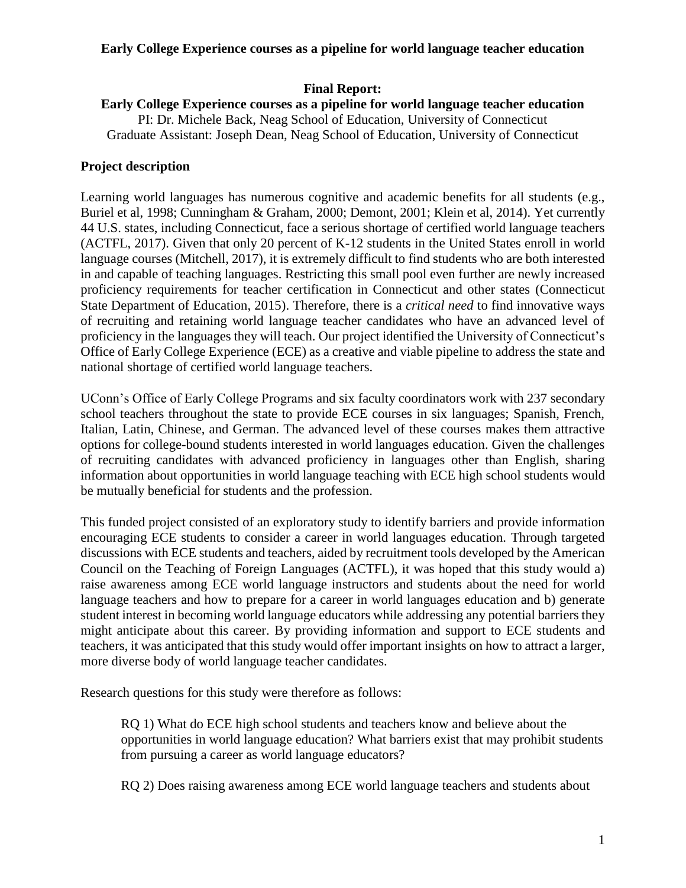# **Final Report:**

#### **Early College Experience courses as a pipeline for world language teacher education** PI: Dr. Michele Back, Neag School of Education, University of Connecticut Graduate Assistant: Joseph Dean, Neag School of Education, University of Connecticut

# **Project description**

Learning world languages has numerous cognitive and academic benefits for all students (e.g., Buriel et al, 1998; Cunningham & Graham, 2000; Demont, 2001; Klein et al, 2014). Yet currently 44 U.S. states, including Connecticut, face a serious shortage of certified world language teachers (ACTFL, 2017). Given that only 20 percent of K-12 students in the United States enroll in world language courses (Mitchell, 2017), it is extremely difficult to find students who are both interested in and capable of teaching languages. Restricting this small pool even further are newly increased proficiency requirements for teacher certification in Connecticut and other states (Connecticut State Department of Education, 2015). Therefore, there is a *critical need* to find innovative ways of recruiting and retaining world language teacher candidates who have an advanced level of proficiency in the languages they will teach. Our project identified the University of Connecticut's Office of Early College Experience (ECE) as a creative and viable pipeline to address the state and national shortage of certified world language teachers.

UConn's Office of Early College Programs and six faculty coordinators work with 237 secondary school teachers throughout the state to provide ECE courses in six languages; Spanish, French, Italian, Latin, Chinese, and German. The advanced level of these courses makes them attractive options for college-bound students interested in world languages education. Given the challenges of recruiting candidates with advanced proficiency in languages other than English, sharing information about opportunities in world language teaching with ECE high school students would be mutually beneficial for students and the profession.

This funded project consisted of an exploratory study to identify barriers and provide information encouraging ECE students to consider a career in world languages education. Through targeted discussions with ECE students and teachers, aided by recruitment tools developed by the American Council on the Teaching of Foreign Languages (ACTFL), it was hoped that this study would a) raise awareness among ECE world language instructors and students about the need for world language teachers and how to prepare for a career in world languages education and b) generate student interest in becoming world language educators while addressing any potential barriers they might anticipate about this career. By providing information and support to ECE students and teachers, it was anticipated that this study would offer important insights on how to attract a larger, more diverse body of world language teacher candidates.

Research questions for this study were therefore as follows:

RQ 1) What do ECE high school students and teachers know and believe about the opportunities in world language education? What barriers exist that may prohibit students from pursuing a career as world language educators?

RQ 2) Does raising awareness among ECE world language teachers and students about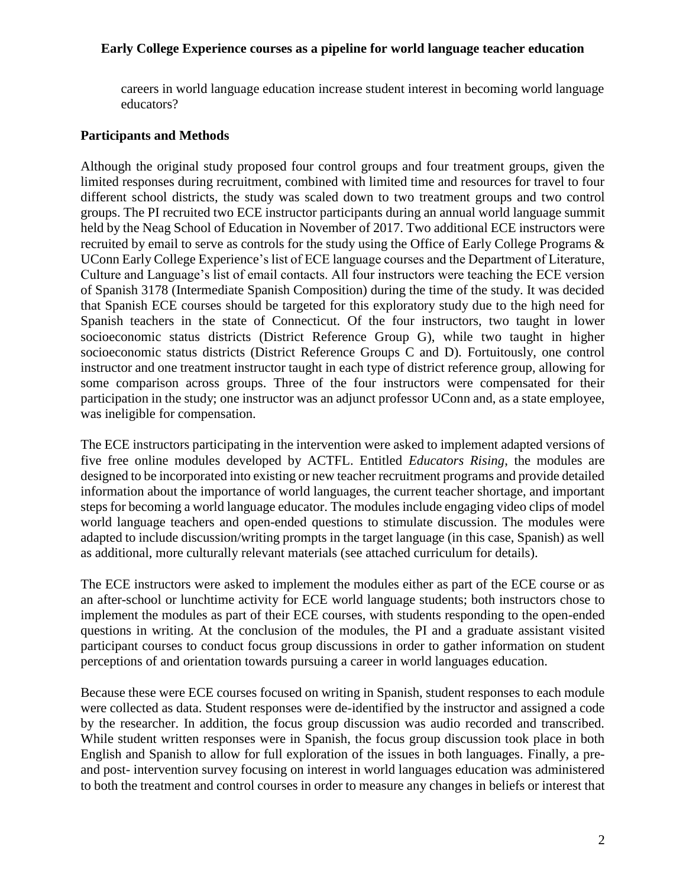careers in world language education increase student interest in becoming world language educators?

# **Participants and Methods**

Although the original study proposed four control groups and four treatment groups, given the limited responses during recruitment, combined with limited time and resources for travel to four different school districts, the study was scaled down to two treatment groups and two control groups. The PI recruited two ECE instructor participants during an annual world language summit held by the Neag School of Education in November of 2017. Two additional ECE instructors were recruited by email to serve as controls for the study using the Office of Early College Programs & UConn Early College Experience's list of ECE language courses and the Department of Literature, Culture and Language's list of email contacts. All four instructors were teaching the ECE version of Spanish 3178 (Intermediate Spanish Composition) during the time of the study. It was decided that Spanish ECE courses should be targeted for this exploratory study due to the high need for Spanish teachers in the state of Connecticut. Of the four instructors, two taught in lower socioeconomic status districts (District Reference Group G), while two taught in higher socioeconomic status districts (District Reference Groups C and D). Fortuitously, one control instructor and one treatment instructor taught in each type of district reference group, allowing for some comparison across groups. Three of the four instructors were compensated for their participation in the study; one instructor was an adjunct professor UConn and, as a state employee, was ineligible for compensation.

The ECE instructors participating in the intervention were asked to implement adapted versions of five free online modules developed by ACTFL. Entitled *Educators Rising*, the modules are designed to be incorporated into existing or new teacher recruitment programs and provide detailed information about the importance of world languages, the current teacher shortage, and important steps for becoming a world language educator. The modules include engaging video clips of model world language teachers and open-ended questions to stimulate discussion. The modules were adapted to include discussion/writing prompts in the target language (in this case, Spanish) as well as additional, more culturally relevant materials (see attached curriculum for details).

The ECE instructors were asked to implement the modules either as part of the ECE course or as an after-school or lunchtime activity for ECE world language students; both instructors chose to implement the modules as part of their ECE courses, with students responding to the open-ended questions in writing. At the conclusion of the modules, the PI and a graduate assistant visited participant courses to conduct focus group discussions in order to gather information on student perceptions of and orientation towards pursuing a career in world languages education.

Because these were ECE courses focused on writing in Spanish, student responses to each module were collected as data. Student responses were de-identified by the instructor and assigned a code by the researcher. In addition, the focus group discussion was audio recorded and transcribed. While student written responses were in Spanish, the focus group discussion took place in both English and Spanish to allow for full exploration of the issues in both languages. Finally, a preand post- intervention survey focusing on interest in world languages education was administered to both the treatment and control courses in order to measure any changes in beliefs or interest that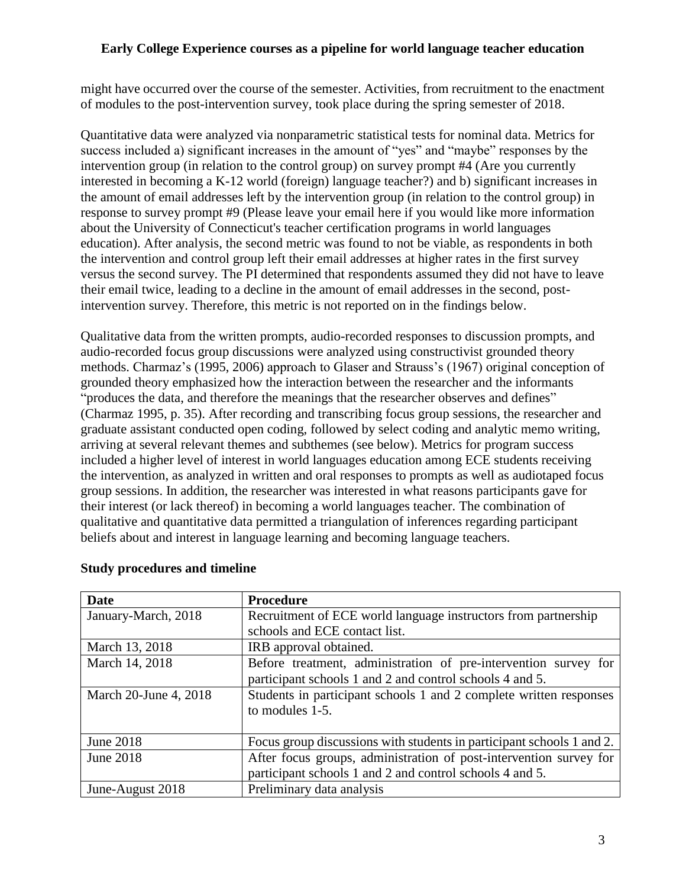might have occurred over the course of the semester. Activities, from recruitment to the enactment of modules to the post-intervention survey, took place during the spring semester of 2018.

Quantitative data were analyzed via nonparametric statistical tests for nominal data. Metrics for success included a) significant increases in the amount of "yes" and "maybe" responses by the intervention group (in relation to the control group) on survey prompt #4 (Are you currently interested in becoming a K-12 world (foreign) language teacher?) and b) significant increases in the amount of email addresses left by the intervention group (in relation to the control group) in response to survey prompt #9 (Please leave your email here if you would like more information about the University of Connecticut's teacher certification programs in world languages education). After analysis, the second metric was found to not be viable, as respondents in both the intervention and control group left their email addresses at higher rates in the first survey versus the second survey. The PI determined that respondents assumed they did not have to leave their email twice, leading to a decline in the amount of email addresses in the second, postintervention survey. Therefore, this metric is not reported on in the findings below.

Qualitative data from the written prompts, audio-recorded responses to discussion prompts, and audio-recorded focus group discussions were analyzed using constructivist grounded theory methods. Charmaz's (1995, 2006) approach to Glaser and Strauss's (1967) original conception of grounded theory emphasized how the interaction between the researcher and the informants "produces the data, and therefore the meanings that the researcher observes and defines" (Charmaz 1995, p. 35). After recording and transcribing focus group sessions, the researcher and graduate assistant conducted open coding, followed by select coding and analytic memo writing, arriving at several relevant themes and subthemes (see below). Metrics for program success included a higher level of interest in world languages education among ECE students receiving the intervention, as analyzed in written and oral responses to prompts as well as audiotaped focus group sessions. In addition, the researcher was interested in what reasons participants gave for their interest (or lack thereof) in becoming a world languages teacher. The combination of qualitative and quantitative data permitted a triangulation of inferences regarding participant beliefs about and interest in language learning and becoming language teachers.

| <b>Date</b>           | Procedure                                                             |
|-----------------------|-----------------------------------------------------------------------|
| January-March, 2018   | Recruitment of ECE world language instructors from partnership        |
|                       | schools and ECE contact list.                                         |
| March 13, 2018        | IRB approval obtained.                                                |
| March 14, 2018        | Before treatment, administration of pre-intervention survey for       |
|                       | participant schools 1 and 2 and control schools 4 and 5.              |
| March 20-June 4, 2018 | Students in participant schools 1 and 2 complete written responses    |
|                       | to modules 1-5.                                                       |
|                       |                                                                       |
| June 2018             | Focus group discussions with students in participant schools 1 and 2. |
| June 2018             | After focus groups, administration of post-intervention survey for    |
|                       | participant schools 1 and 2 and control schools 4 and 5.              |
| June-August 2018      | Preliminary data analysis                                             |

# **Study procedures and timeline**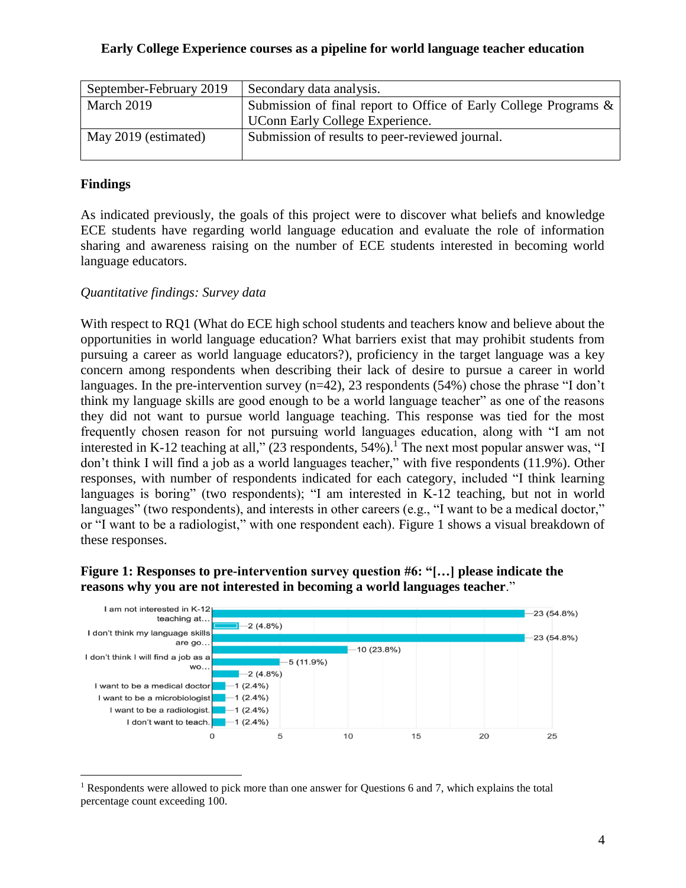| September-February 2019 | Secondary data analysis.                                         |
|-------------------------|------------------------------------------------------------------|
| March 2019              | Submission of final report to Office of Early College Programs & |
|                         | UConn Early College Experience.                                  |
| May 2019 (estimated)    | Submission of results to peer-reviewed journal.                  |
|                         |                                                                  |

# **Findings**

 $\overline{a}$ 

As indicated previously, the goals of this project were to discover what beliefs and knowledge ECE students have regarding world language education and evaluate the role of information sharing and awareness raising on the number of ECE students interested in becoming world language educators.

#### *Quantitative findings: Survey data*

With respect to RQ1 (What do ECE high school students and teachers know and believe about the opportunities in world language education? What barriers exist that may prohibit students from pursuing a career as world language educators?), proficiency in the target language was a key concern among respondents when describing their lack of desire to pursue a career in world languages. In the pre-intervention survey (n=42), 23 respondents (54%) chose the phrase "I don't think my language skills are good enough to be a world language teacher" as one of the reasons they did not want to pursue world language teaching. This response was tied for the most frequently chosen reason for not pursuing world languages education, along with "I am not interested in K-12 teaching at all," (23 respondents, 54%).<sup>1</sup> The next most popular answer was, "I don't think I will find a job as a world languages teacher," with five respondents (11.9%). Other responses, with number of respondents indicated for each category, included "I think learning languages is boring" (two respondents); "I am interested in K-12 teaching, but not in world languages" (two respondents), and interests in other careers (e.g., "I want to be a medical doctor," or "I want to be a radiologist," with one respondent each). Figure 1 shows a visual breakdown of these responses.

#### **Figure 1: Responses to pre-intervention survey question #6: "[…] please indicate the reasons why you are not interested in becoming a world languages teacher**."



<sup>&</sup>lt;sup>1</sup> Respondents were allowed to pick more than one answer for Questions 6 and 7, which explains the total percentage count exceeding 100.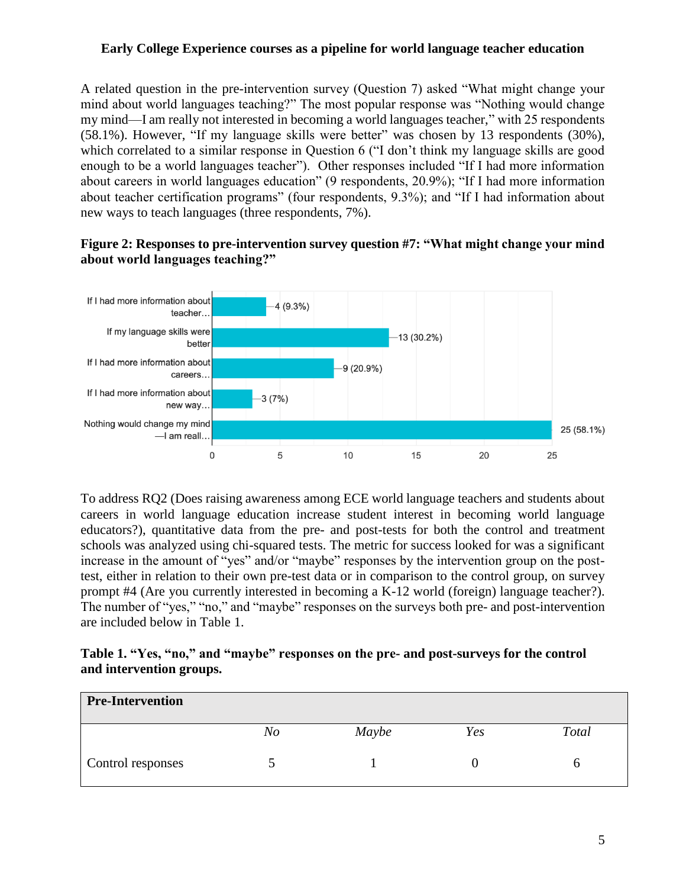A related question in the pre-intervention survey (Question 7) asked "What might change your mind about world languages teaching?" The most popular response was "Nothing would change my mind—I am really not interested in becoming a world languages teacher," with 25 respondents (58.1%). However, "If my language skills were better" was chosen by 13 respondents (30%), which correlated to a similar response in Question 6 ("I don't think my language skills are good enough to be a world languages teacher"). Other responses included "If I had more information about careers in world languages education" (9 respondents, 20.9%); "If I had more information about teacher certification programs" (four respondents, 9.3%); and "If I had information about new ways to teach languages (three respondents, 7%).

# **Figure 2: Responses to pre-intervention survey question #7: "What might change your mind about world languages teaching?"**



To address RQ2 (Does raising awareness among ECE world language teachers and students about careers in world language education increase student interest in becoming world language educators?), quantitative data from the pre- and post-tests for both the control and treatment schools was analyzed using chi-squared tests. The metric for success looked for was a significant increase in the amount of "yes" and/or "maybe" responses by the intervention group on the posttest, either in relation to their own pre-test data or in comparison to the control group, on survey prompt #4 (Are you currently interested in becoming a K-12 world (foreign) language teacher?). The number of "yes," "no," and "maybe" responses on the surveys both pre- and post-intervention are included below in Table 1.

## **Table 1. "Yes, "no," and "maybe" responses on the pre- and post-surveys for the control and intervention groups.**

| <b>Pre-Intervention</b> |    |       |     |       |
|-------------------------|----|-------|-----|-------|
|                         | No | Maybe | Yes | Total |
| Control responses       |    |       |     |       |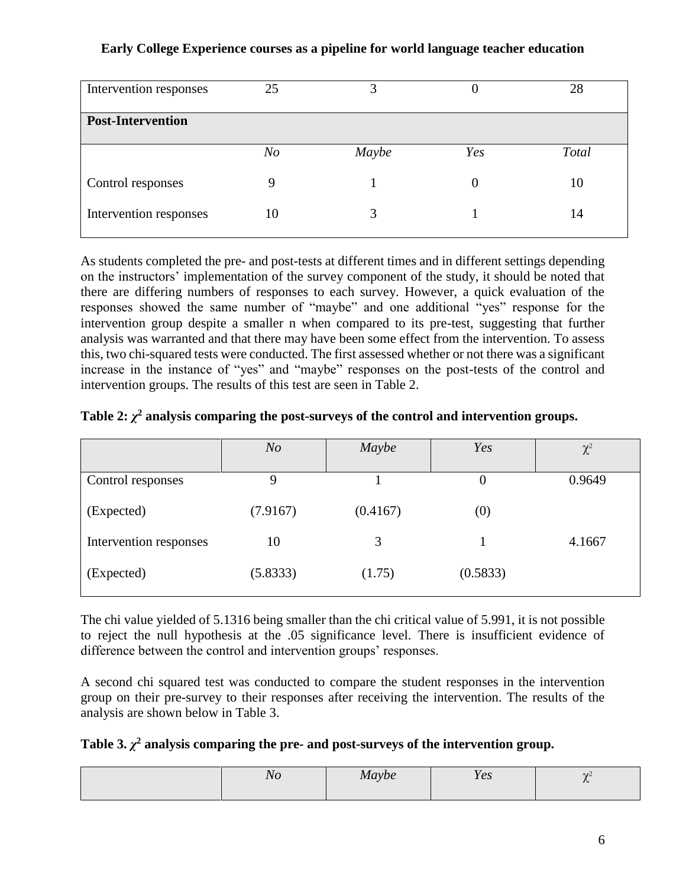| Intervention responses   | 25             | 3     |          | 28    |
|--------------------------|----------------|-------|----------|-------|
| <b>Post-Intervention</b> |                |       |          |       |
|                          | N <sub>O</sub> | Maybe | Yes      | Total |
| Control responses        | 9              |       | $\theta$ | 10    |
| Intervention responses   | 10             |       |          | 14    |

As students completed the pre- and post-tests at different times and in different settings depending on the instructors' implementation of the survey component of the study, it should be noted that there are differing numbers of responses to each survey. However, a quick evaluation of the responses showed the same number of "maybe" and one additional "yes" response for the intervention group despite a smaller n when compared to its pre-test, suggesting that further analysis was warranted and that there may have been some effect from the intervention. To assess this, two chi-squared tests were conducted. The first assessed whether or not there was a significant increase in the instance of "yes" and "maybe" responses on the post-tests of the control and intervention groups. The results of this test are seen in Table 2.

|  |  |  |  |  | Table 2: $\chi^2$ analysis comparing the post-surveys of the control and intervention groups. |
|--|--|--|--|--|-----------------------------------------------------------------------------------------------|
|--|--|--|--|--|-----------------------------------------------------------------------------------------------|

|                        | N <sub>O</sub> | Maybe    | Yes      | $\chi^2$ |
|------------------------|----------------|----------|----------|----------|
| Control responses      | Q              |          | 0        | 0.9649   |
| (Expected)             | (7.9167)       | (0.4167) | (0)      |          |
| Intervention responses | 10             | 3        |          | 4.1667   |
| (Expected)             | (5.8333)       | (1.75)   | (0.5833) |          |

The chi value yielded of 5.1316 being smaller than the chi critical value of 5.991, it is not possible to reject the null hypothesis at the .05 significance level. There is insufficient evidence of difference between the control and intervention groups' responses.

A second chi squared test was conducted to compare the student responses in the intervention group on their pre-survey to their responses after receiving the intervention. The results of the analysis are shown below in Table 3.

| Table 3. $\chi^2$ analysis comparing the pre- and post-surveys of the intervention group. |  |  |  |  |  |  |  |
|-------------------------------------------------------------------------------------------|--|--|--|--|--|--|--|
|-------------------------------------------------------------------------------------------|--|--|--|--|--|--|--|

|  | $\sim$ | vve<br>$-11$ | $\sim$ 1<br>$\mathbf{1}$ $\mathbf{U}$ | $\Delta L$ |
|--|--------|--------------|---------------------------------------|------------|
|--|--------|--------------|---------------------------------------|------------|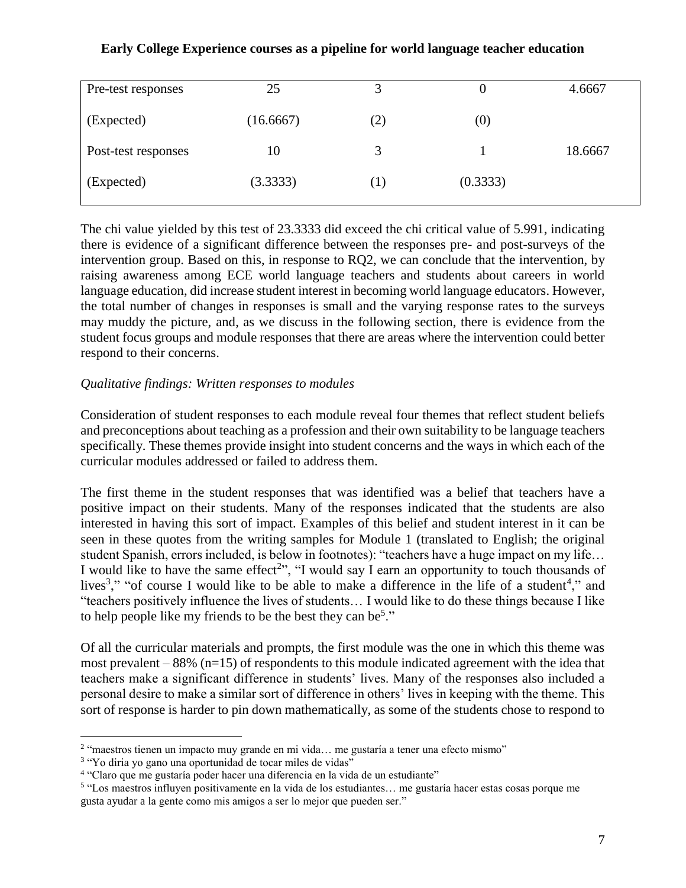| Pre-test responses  | 25        | 2                 |          | 4.6667  |
|---------------------|-----------|-------------------|----------|---------|
| (Expected)          | (16.6667) | $\left( 2\right)$ | (0)      |         |
| Post-test responses | 10        | 3                 |          | 18.6667 |
| (Expected)          | (3.3333)  |                   | (0.3333) |         |

The chi value yielded by this test of 23.3333 did exceed the chi critical value of 5.991, indicating there is evidence of a significant difference between the responses pre- and post-surveys of the intervention group. Based on this, in response to RQ2, we can conclude that the intervention, by raising awareness among ECE world language teachers and students about careers in world language education, did increase student interest in becoming world language educators. However, the total number of changes in responses is small and the varying response rates to the surveys may muddy the picture, and, as we discuss in the following section, there is evidence from the student focus groups and module responses that there are areas where the intervention could better respond to their concerns.

# *Qualitative findings: Written responses to modules*

Consideration of student responses to each module reveal four themes that reflect student beliefs and preconceptions about teaching as a profession and their own suitability to be language teachers specifically. These themes provide insight into student concerns and the ways in which each of the curricular modules addressed or failed to address them.

The first theme in the student responses that was identified was a belief that teachers have a positive impact on their students. Many of the responses indicated that the students are also interested in having this sort of impact. Examples of this belief and student interest in it can be seen in these quotes from the writing samples for Module 1 (translated to English; the original student Spanish, errors included, is below in footnotes): "teachers have a huge impact on my life… I would like to have the same effect<sup>2</sup>", "I would say I earn an opportunity to touch thousands of lives<sup>3</sup>," "of course I would like to be able to make a difference in the life of a student<sup>4</sup>," and "teachers positively influence the lives of students… I would like to do these things because I like to help people like my friends to be the best they can be<sup>5</sup>."

Of all the curricular materials and prompts, the first module was the one in which this theme was most prevalent  $-88\%$  (n=15) of respondents to this module indicated agreement with the idea that teachers make a significant difference in students' lives. Many of the responses also included a personal desire to make a similar sort of difference in others' lives in keeping with the theme. This sort of response is harder to pin down mathematically, as some of the students chose to respond to

 $\overline{a}$ 

<sup>2</sup> "maestros tienen un impacto muy grande en mi vida… me gustaría a tener una efecto mismo"

<sup>&</sup>lt;sup>3</sup> "Yo diria yo gano una oportunidad de tocar miles de vidas"

<sup>&</sup>lt;sup>4</sup> "Claro que me gustaría poder hacer una diferencia en la vida de un estudiante"

<sup>&</sup>lt;sup>5</sup> "Los maestros influyen positivamente en la vida de los estudiantes... me gustaría hacer estas cosas porque me gusta ayudar a la gente como mis amigos a ser lo mejor que pueden ser."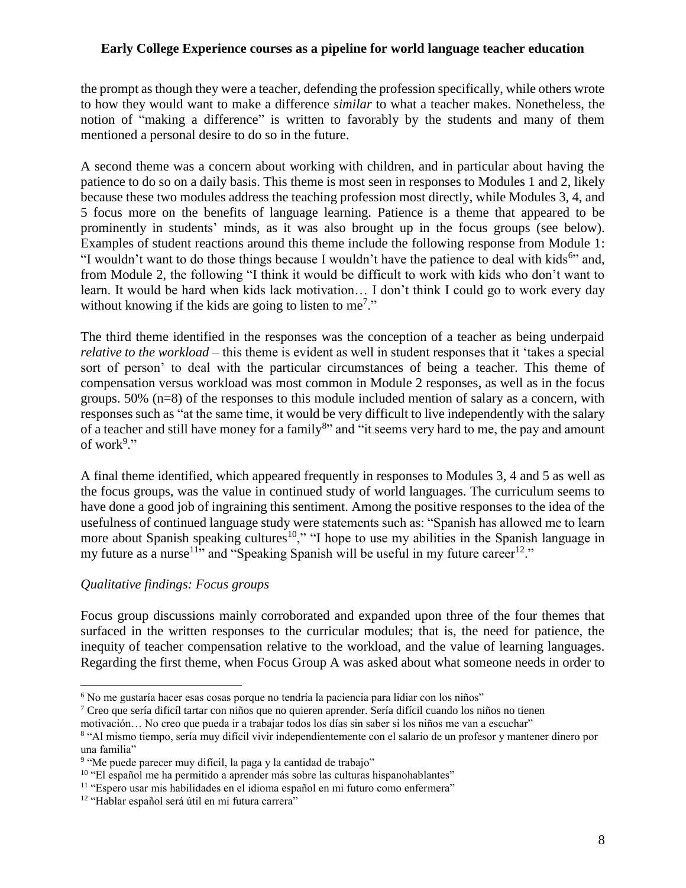the prompt as though they were a teacher, defending the profession specifically, while others wrote to how they would want to make a difference *similar* to what a teacher makes. Nonetheless, the notion of "making a difference" is written to favorably by the students and many of them mentioned a personal desire to do so in the future.

A second theme was a concern about working with children, and in particular about having the patience to do so on a daily basis. This theme is most seen in responses to Modules 1 and 2, likely because these two modules address the teaching profession most directly, while Modules 3, 4, and 5 focus more on the benefits of language learning. Patience is a theme that appeared to be prominently in students' minds, as it was also brought up in the focus groups (see below). Examples of student reactions around this theme include the following response from Module 1: "I wouldn't want to do those things because I wouldn't have the patience to deal with kids<sup>6</sup>" and, from Module 2, the following "I think it would be difficult to work with kids who don't want to learn. It would be hard when kids lack motivation… I don't think I could go to work every day without knowing if the kids are going to listen to me<sup>7</sup>."

The third theme identified in the responses was the conception of a teacher as being underpaid *relative to the workload* – this theme is evident as well in student responses that it 'takes a special sort of person' to deal with the particular circumstances of being a teacher. This theme of compensation versus workload was most common in Module 2 responses, as well as in the focus groups. 50% (n=8) of the responses to this module included mention of salary as a concern, with responses such as "at the same time, it would be very difficult to live independently with the salary of a teacher and still have money for a family<sup>8</sup>" and "it seems very hard to me, the pay and amount of work $9$ ."

A final theme identified, which appeared frequently in responses to Modules 3, 4 and 5 as well as the focus groups, was the value in continued study of world languages. The curriculum seems to have done a good job of ingraining this sentiment. Among the positive responses to the idea of the usefulness of continued language study were statements such as: "Spanish has allowed me to learn more about Spanish speaking cultures<sup>10</sup>," "I hope to use my abilities in the Spanish language in my future as a nurse<sup>11</sup><sup>3</sup> and "Speaking Spanish will be useful in my future career<sup>12</sup>."

#### *Qualitative findings: Focus groups*

 $\overline{a}$ 

Focus group discussions mainly corroborated and expanded upon three of the four themes that surfaced in the written responses to the curricular modules; that is, the need for patience, the inequity of teacher compensation relative to the workload, and the value of learning languages. Regarding the first theme, when Focus Group A was asked about what someone needs in order to

<sup>6</sup> No me gustaría hacer esas cosas porque no tendría la paciencia para lidiar con los niños"

<sup>&</sup>lt;sup>7</sup> Creo que sería dificíl tartar con niños que no quieren aprender. Sería difícil cuando los niños no tienen

motivación… No creo que pueda ir a trabajar todos los días sin saber si los niños me van a escuchar"

<sup>8</sup> "Al mismo tiempo, sería muy difícil vivir independientemente con el salario de un profesor y mantener dinero por una familia"

<sup>&</sup>lt;sup>9</sup> "Me puede parecer muy difícil, la paga y la cantidad de trabajo"

<sup>&</sup>lt;sup>10</sup> "El español me ha permitido a aprender más sobre las culturas hispanohablantes"

<sup>11</sup> "Espero usar mis habilidades en el idioma español en mi futuro como enfermera"

<sup>&</sup>lt;sup>12</sup> "Hablar español será útil en mi futura carrera"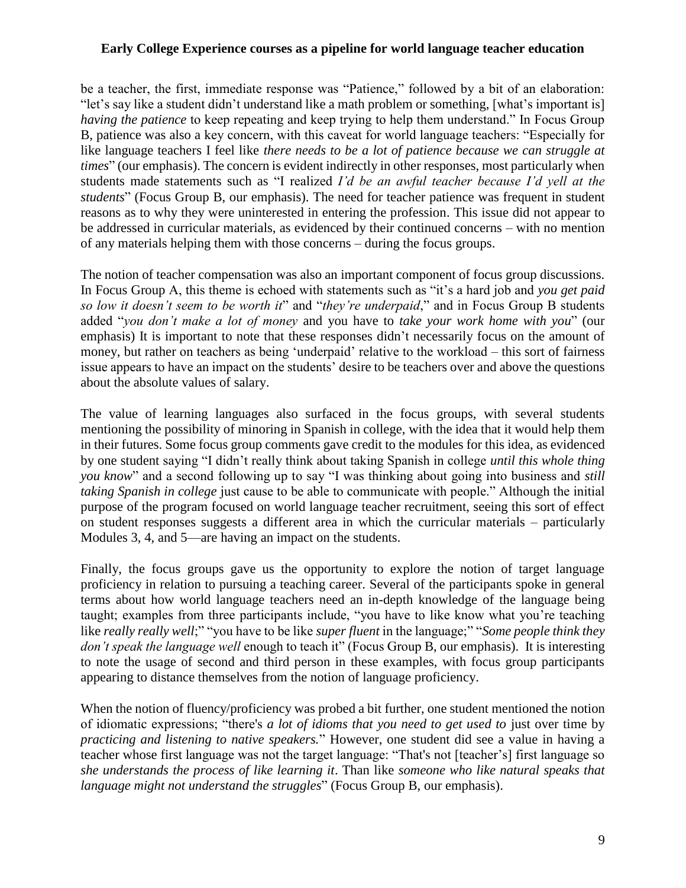be a teacher, the first, immediate response was "Patience," followed by a bit of an elaboration: "let's say like a student didn't understand like a math problem or something, [what's important is] *having the patience* to keep repeating and keep trying to help them understand." In Focus Group B, patience was also a key concern, with this caveat for world language teachers: "Especially for like language teachers I feel like *there needs to be a lot of patience because we can struggle at times*" (our emphasis). The concern is evident indirectly in other responses, most particularly when students made statements such as "I realized *I'd be an awful teacher because I'd yell at the students*" (Focus Group B, our emphasis). The need for teacher patience was frequent in student reasons as to why they were uninterested in entering the profession. This issue did not appear to be addressed in curricular materials, as evidenced by their continued concerns – with no mention of any materials helping them with those concerns – during the focus groups.

The notion of teacher compensation was also an important component of focus group discussions. In Focus Group A, this theme is echoed with statements such as "it's a hard job and *you get paid so low it doesn't seem to be worth it*" and "*they're underpaid*," and in Focus Group B students added "*you don't make a lot of money* and you have to *take your work home with you*" (our emphasis) It is important to note that these responses didn't necessarily focus on the amount of money, but rather on teachers as being 'underpaid' relative to the workload – this sort of fairness issue appears to have an impact on the students' desire to be teachers over and above the questions about the absolute values of salary.

The value of learning languages also surfaced in the focus groups, with several students mentioning the possibility of minoring in Spanish in college, with the idea that it would help them in their futures. Some focus group comments gave credit to the modules for this idea, as evidenced by one student saying "I didn't really think about taking Spanish in college *until this whole thing you know*" and a second following up to say "I was thinking about going into business and *still taking Spanish in college* just cause to be able to communicate with people." Although the initial purpose of the program focused on world language teacher recruitment, seeing this sort of effect on student responses suggests a different area in which the curricular materials – particularly Modules 3, 4, and 5—are having an impact on the students.

Finally, the focus groups gave us the opportunity to explore the notion of target language proficiency in relation to pursuing a teaching career. Several of the participants spoke in general terms about how world language teachers need an in-depth knowledge of the language being taught; examples from three participants include, "you have to like know what you're teaching like *really really well*;" "you have to be like *super fluent* in the language;" "*Some people think they don't speak the language well* enough to teach it" (Focus Group B, our emphasis). It is interesting to note the usage of second and third person in these examples, with focus group participants appearing to distance themselves from the notion of language proficiency.

When the notion of fluency/proficiency was probed a bit further, one student mentioned the notion of idiomatic expressions; "there's *a lot of idioms that you need to get used to* just over time by *practicing and listening to native speakers.*" However, one student did see a value in having a teacher whose first language was not the target language: "That's not [teacher's] first language so *she understands the process of like learning it*. Than like *someone who like natural speaks that language might not understand the struggles*" (Focus Group B, our emphasis).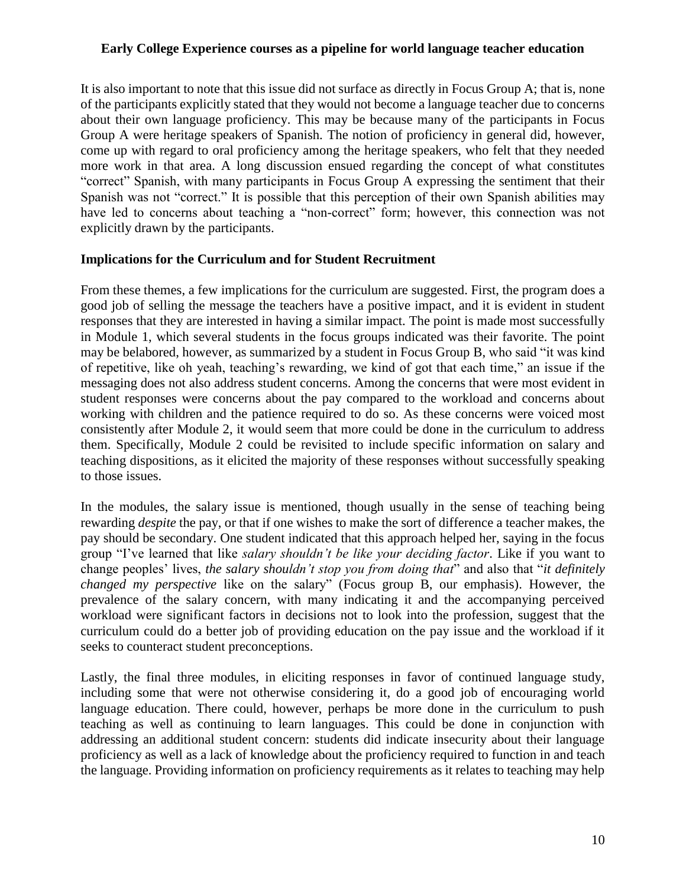It is also important to note that this issue did not surface as directly in Focus Group A; that is, none of the participants explicitly stated that they would not become a language teacher due to concerns about their own language proficiency. This may be because many of the participants in Focus Group A were heritage speakers of Spanish. The notion of proficiency in general did, however, come up with regard to oral proficiency among the heritage speakers, who felt that they needed more work in that area. A long discussion ensued regarding the concept of what constitutes "correct" Spanish, with many participants in Focus Group A expressing the sentiment that their Spanish was not "correct." It is possible that this perception of their own Spanish abilities may have led to concerns about teaching a "non-correct" form; however, this connection was not explicitly drawn by the participants.

#### **Implications for the Curriculum and for Student Recruitment**

From these themes, a few implications for the curriculum are suggested. First, the program does a good job of selling the message the teachers have a positive impact, and it is evident in student responses that they are interested in having a similar impact. The point is made most successfully in Module 1, which several students in the focus groups indicated was their favorite. The point may be belabored, however, as summarized by a student in Focus Group B, who said "it was kind of repetitive, like oh yeah, teaching's rewarding, we kind of got that each time," an issue if the messaging does not also address student concerns. Among the concerns that were most evident in student responses were concerns about the pay compared to the workload and concerns about working with children and the patience required to do so. As these concerns were voiced most consistently after Module 2, it would seem that more could be done in the curriculum to address them. Specifically, Module 2 could be revisited to include specific information on salary and teaching dispositions, as it elicited the majority of these responses without successfully speaking to those issues.

In the modules, the salary issue is mentioned, though usually in the sense of teaching being rewarding *despite* the pay, or that if one wishes to make the sort of difference a teacher makes, the pay should be secondary. One student indicated that this approach helped her, saying in the focus group "I've learned that like *salary shouldn't be like your deciding factor*. Like if you want to change peoples' lives, *the salary shouldn't stop you from doing that*" and also that "*it definitely changed my perspective* like on the salary" (Focus group B, our emphasis). However, the prevalence of the salary concern, with many indicating it and the accompanying perceived workload were significant factors in decisions not to look into the profession, suggest that the curriculum could do a better job of providing education on the pay issue and the workload if it seeks to counteract student preconceptions.

Lastly, the final three modules, in eliciting responses in favor of continued language study, including some that were not otherwise considering it, do a good job of encouraging world language education. There could, however, perhaps be more done in the curriculum to push teaching as well as continuing to learn languages. This could be done in conjunction with addressing an additional student concern: students did indicate insecurity about their language proficiency as well as a lack of knowledge about the proficiency required to function in and teach the language. Providing information on proficiency requirements as it relates to teaching may help